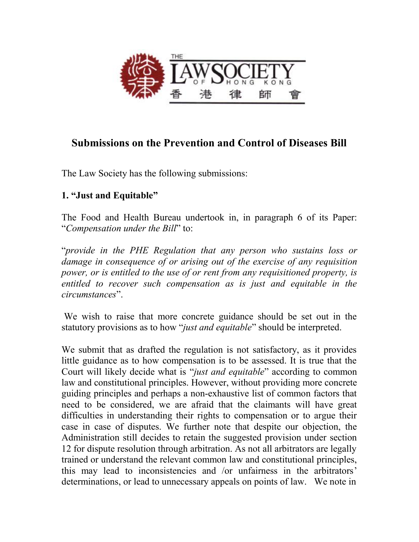

## **Submissions on the Prevention and Control of Diseases Bill**

The Law Society has the following submissions:

## **1. "Just and Equitable"**

The Food and Health Bureau undertook in, in paragraph 6 of its Paper: "*Compensation under the Bill*" to:

"*provide in the PHE Regulation that any person who sustains loss or damage in consequence of or arising out of the exercise of any requisition power, or is entitled to the use of or rent from any requisitioned property, is entitled to recover such compensation as is just and equitable in the circumstances*".

We wish to raise that more concrete guidance should be set out in the statutory provisions as to how "*just and equitable*" should be interpreted.

We submit that as drafted the regulation is not satisfactory, as it provides little guidance as to how compensation is to be assessed. It is true that the Court will likely decide what is "*just and equitable*" according to common law and constitutional principles. However, without providing more concrete guiding principles and perhaps a non-exhaustive list of common factors that need to be considered, we are afraid that the claimants will have great difficulties in understanding their rights to compensation or to argue their case in case of disputes. We further note that despite our objection, the Administration still decides to retain the suggested provision under section 12 for dispute resolution through arbitration. As not all arbitrators are legally trained or understand the relevant common law and constitutional principles, this may lead to inconsistencies and /or unfairness in the arbitrators' determinations, or lead to unnecessary appeals on points of law. We note in